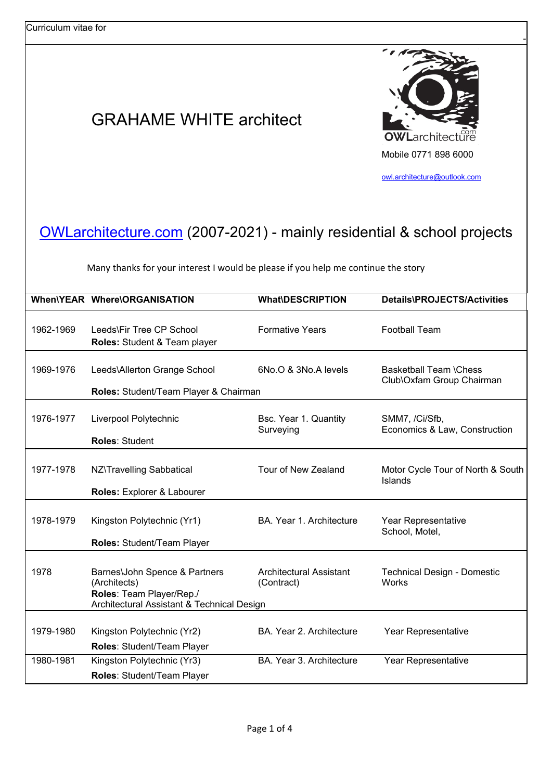## GRAHAME WHITE architect



-

owl.architecture@outlook.com

## OWLarchitecture.com (2007-2021) - mainly residential & school projects

Many thanks for your interest I would be please if you help me continue the story

|           | When\YEAR Where\ORGANISATION                                                                                            | <b>What\DESCRIPTION</b>                      | Details\PROJECTS/Activities                                |
|-----------|-------------------------------------------------------------------------------------------------------------------------|----------------------------------------------|------------------------------------------------------------|
| 1962-1969 | Leeds\Fir Tree CP School<br>Roles: Student & Team player                                                                | <b>Formative Years</b>                       | <b>Football Team</b>                                       |
| 1969-1976 | Leeds\Allerton Grange School<br>Roles: Student/Team Player & Chairman                                                   | 6No.O & 3No.A levels                         | <b>Basketball Team \Chess</b><br>Club\Oxfam Group Chairman |
| 1976-1977 | Liverpool Polytechnic<br><b>Roles: Student</b>                                                                          | Bsc. Year 1. Quantity<br>Surveying           | SMM7, /Ci/Sfb,<br>Economics & Law, Construction            |
| 1977-1978 | NZ\Travelling Sabbatical<br>Roles: Explorer & Labourer                                                                  | Tour of New Zealand                          | Motor Cycle Tour of North & South<br>Islands               |
| 1978-1979 | Kingston Polytechnic (Yr1)<br>Roles: Student/Team Player                                                                | BA. Year 1. Architecture                     | Year Representative<br>School, Motel,                      |
| 1978      | Barnes\John Spence & Partners<br>(Architects)<br>Roles: Team Player/Rep./<br>Architectural Assistant & Technical Design | <b>Architectural Assistant</b><br>(Contract) | <b>Technical Design - Domestic</b><br>Works                |
| 1979-1980 | Kingston Polytechnic (Yr2)<br>Roles: Student/Team Player                                                                | BA. Year 2. Architecture                     | Year Representative                                        |
| 1980-1981 | Kingston Polytechnic (Yr3)<br>Roles: Student/Team Player                                                                | BA. Year 3. Architecture                     | Year Representative                                        |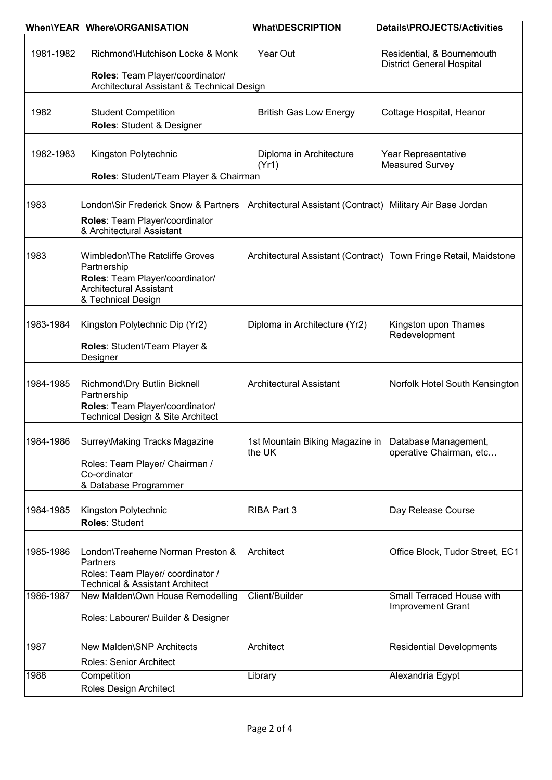|           | When\YEAR Where\ORGANISATION                                                                                                                                    | <b>What\DESCRIPTION</b>                                        | Details\PROJECTS/Activities                                      |
|-----------|-----------------------------------------------------------------------------------------------------------------------------------------------------------------|----------------------------------------------------------------|------------------------------------------------------------------|
| 1981-1982 | Richmond\Hutchison Locke & Monk<br>Roles: Team Player/coordinator/<br>Architectural Assistant & Technical Design                                                | Year Out                                                       | Residential, & Bournemouth<br><b>District General Hospital</b>   |
| 1982      | <b>Student Competition</b><br>Roles: Student & Designer                                                                                                         | <b>British Gas Low Energy</b>                                  | Cottage Hospital, Heanor                                         |
| 1982-1983 | Kingston Polytechnic<br>Roles: Student/Team Player & Chairman                                                                                                   | Diploma in Architecture<br>(Yr1)                               | Year Representative<br><b>Measured Survey</b>                    |
| 1983      | London\Sir Frederick Snow & Partners Architectural Assistant (Contract) Military Air Base Jordan<br>Roles: Team Player/coordinator<br>& Architectural Assistant |                                                                |                                                                  |
| 1983      | Wimbledon\The Ratcliffe Groves<br>Partnership<br>Roles: Team Player/coordinator/<br><b>Architectural Assistant</b><br>& Technical Design                        |                                                                | Architectural Assistant (Contract) Town Fringe Retail, Maidstone |
| 1983-1984 | Kingston Polytechnic Dip (Yr2)<br>Roles: Student/Team Player &<br>Designer                                                                                      | Diploma in Architecture (Yr2)                                  | Kingston upon Thames<br>Redevelopment                            |
| 1984-1985 | Richmond\Dry Butlin Bicknell<br>Partnership<br>Roles: Team Player/coordinator/<br>Technical Design & Site Architect                                             | <b>Architectural Assistant</b>                                 | Norfolk Hotel South Kensington                                   |
| 1984-1986 | Surrey\Making Tracks Magazine<br>Roles: Team Player/ Chairman /<br>Co-ordinator<br>& Database Programmer                                                        | 1st Mountain Biking Magazine in Database Management,<br>the UK | operative Chairman, etc                                          |
| 1984-1985 | Kingston Polytechnic<br>Roles: Student                                                                                                                          | RIBA Part 3                                                    | Day Release Course                                               |
| 1985-1986 | London\Treaherne Norman Preston &<br>Partners<br>Roles: Team Player/ coordinator /<br><b>Technical &amp; Assistant Architect</b>                                | Architect                                                      | Office Block, Tudor Street, EC1                                  |
| 1986-1987 | New Malden\Own House Remodelling<br>Roles: Labourer/ Builder & Designer                                                                                         | Client/Builder                                                 | Small Terraced House with<br><b>Improvement Grant</b>            |
| 1987      | New Malden\SNP Architects<br>Roles: Senior Architect                                                                                                            | Architect                                                      | <b>Residential Developments</b>                                  |
| 1988      | Competition<br>Roles Design Architect                                                                                                                           | Library                                                        | Alexandria Egypt                                                 |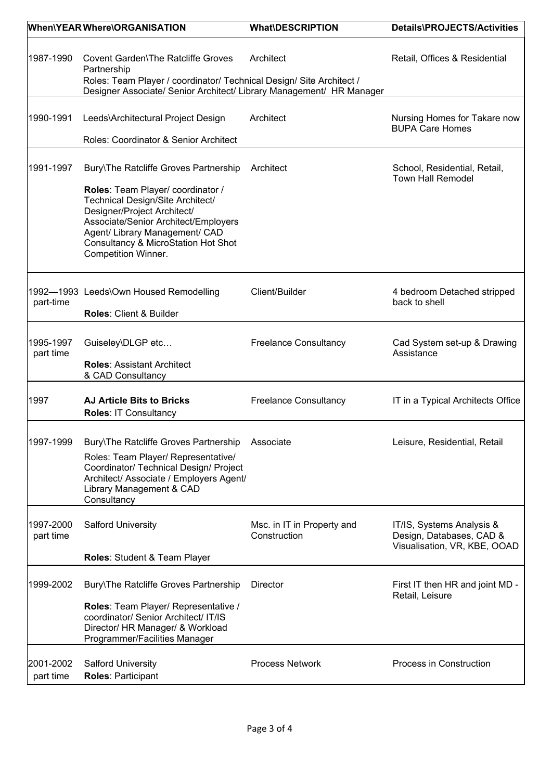|                        | When\YEARWhere\ORGANISATION                                                                                                                                                                                                                                                                      | <b>What\DESCRIPTION</b>                    | Details\PROJECTS/Activities                                                           |
|------------------------|--------------------------------------------------------------------------------------------------------------------------------------------------------------------------------------------------------------------------------------------------------------------------------------------------|--------------------------------------------|---------------------------------------------------------------------------------------|
| 1987-1990              | Covent Garden\The Ratcliffe Groves<br>Partnership<br>Roles: Team Player / coordinator/ Technical Design/ Site Architect /<br>Designer Associate/ Senior Architect/ Library Management/ HR Manager                                                                                                | Architect                                  | Retail, Offices & Residential                                                         |
| 1990-1991              | Leeds\Architectural Project Design<br>Roles: Coordinator & Senior Architect                                                                                                                                                                                                                      | Architect                                  | Nursing Homes for Takare now<br><b>BUPA Care Homes</b>                                |
| 1991-1997              | Bury\The Ratcliffe Groves Partnership<br>Roles: Team Player/ coordinator /<br>Technical Design/Site Architect/<br>Designer/Project Architect/<br>Associate/Senior Architect/Employers<br>Agent/ Library Management/ CAD<br><b>Consultancy &amp; MicroStation Hot Shot</b><br>Competition Winner. | Architect                                  | School, Residential, Retail,<br><b>Town Hall Remodel</b>                              |
| part-time              | 1992-1993 Leeds\Own Housed Remodelling<br>Roles: Client & Builder                                                                                                                                                                                                                                | Client/Builder                             | 4 bedroom Detached stripped<br>back to shell                                          |
| 1995-1997<br>part time | Guiseley\DLGP etc<br><b>Roles: Assistant Architect</b><br>& CAD Consultancy                                                                                                                                                                                                                      | <b>Freelance Consultancy</b>               | Cad System set-up & Drawing<br>Assistance                                             |
| 1997                   | <b>AJ Article Bits to Bricks</b><br>Roles: IT Consultancy                                                                                                                                                                                                                                        | <b>Freelance Consultancy</b>               | IT in a Typical Architects Office                                                     |
| 1997-1999              | Bury\The Ratcliffe Groves Partnership<br>Roles: Team Player/ Representative/<br>Coordinator/ Technical Design/ Project<br>Architect/ Associate / Employers Agent/<br>Library Management & CAD<br>Consultancy                                                                                     | Associate                                  | Leisure, Residential, Retail                                                          |
| 1997-2000<br>part time | <b>Salford University</b>                                                                                                                                                                                                                                                                        | Msc. in IT in Property and<br>Construction | IT/IS, Systems Analysis &<br>Design, Databases, CAD &<br>Visualisation, VR, KBE, OOAD |
| 1999-2002              | <b>Roles: Student &amp; Team Player</b><br>Bury\The Ratcliffe Groves Partnership<br>Roles: Team Player/ Representative /<br>coordinator/ Senior Architect/ IT/IS<br>Director/ HR Manager/ & Workload<br>Programmer/Facilities Manager                                                            | Director                                   | First IT then HR and joint MD -<br>Retail, Leisure                                    |
| 2001-2002<br>part time | <b>Salford University</b><br><b>Roles: Participant</b>                                                                                                                                                                                                                                           | <b>Process Network</b>                     | Process in Construction                                                               |